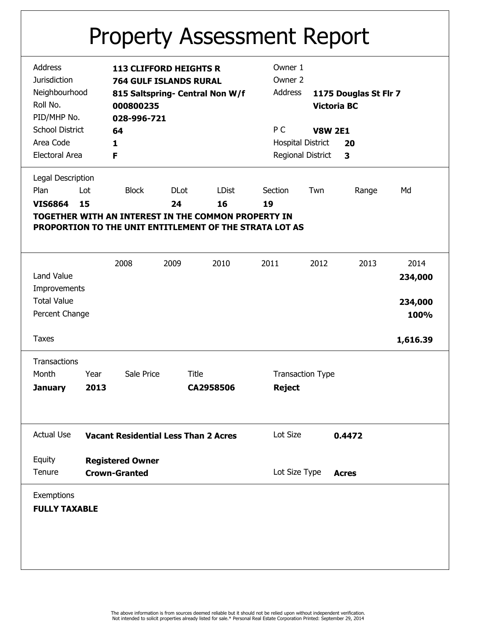## Property Assessment Report

| <b>Address</b><br><b>Jurisdiction</b><br>Neighbourhood<br>Roll No.<br>PID/MHP No. |                                             | 000800235<br>028-996-721 | <b>113 CLIFFORD HEIGHTS R</b><br><b>764 GULF ISLANDS RURAL</b> | 815 Saltspring- Central Non W/f                         | Owner 1<br>Owner 2<br>Address<br>1175 Douglas St Flr 7<br><b>Victoria BC</b> |                |        |          |  |
|-----------------------------------------------------------------------------------|---------------------------------------------|--------------------------|----------------------------------------------------------------|---------------------------------------------------------|------------------------------------------------------------------------------|----------------|--------|----------|--|
| <b>School District</b>                                                            |                                             | 64                       |                                                                |                                                         | P C                                                                          | <b>V8W 2E1</b> |        |          |  |
| Area Code                                                                         |                                             | 1                        |                                                                |                                                         | <b>Hospital District</b>                                                     |                | 20     |          |  |
| <b>Electoral Area</b>                                                             |                                             | F                        |                                                                |                                                         | Regional District                                                            |                | 3      |          |  |
|                                                                                   |                                             |                          |                                                                |                                                         |                                                                              |                |        |          |  |
| Legal Description                                                                 |                                             |                          |                                                                |                                                         |                                                                              |                |        |          |  |
| Plan                                                                              | Lot                                         | <b>Block</b>             | <b>DLot</b>                                                    | <b>LDist</b>                                            | Section                                                                      | Twn            | Range  | Md       |  |
| <b>VIS6864</b>                                                                    | 15                                          |                          | 24                                                             | 16                                                      | 19                                                                           |                |        |          |  |
|                                                                                   |                                             |                          |                                                                | TOGETHER WITH AN INTEREST IN THE COMMON PROPERTY IN     |                                                                              |                |        |          |  |
|                                                                                   |                                             |                          |                                                                | PROPORTION TO THE UNIT ENTITLEMENT OF THE STRATA LOT AS |                                                                              |                |        |          |  |
|                                                                                   |                                             |                          |                                                                |                                                         |                                                                              |                |        |          |  |
|                                                                                   |                                             | 2008                     | 2009                                                           | 2010                                                    | 2011                                                                         | 2012           | 2013   | 2014     |  |
| Land Value                                                                        |                                             |                          |                                                                |                                                         |                                                                              |                |        |          |  |
|                                                                                   |                                             |                          |                                                                |                                                         |                                                                              |                |        | 234,000  |  |
| Improvements                                                                      |                                             |                          |                                                                |                                                         |                                                                              |                |        |          |  |
| <b>Total Value</b>                                                                |                                             |                          |                                                                |                                                         |                                                                              |                |        | 234,000  |  |
| Percent Change                                                                    |                                             |                          |                                                                |                                                         |                                                                              |                |        | 100%     |  |
| <b>Taxes</b>                                                                      |                                             |                          |                                                                |                                                         |                                                                              |                |        | 1,616.39 |  |
| Transactions                                                                      |                                             |                          |                                                                |                                                         |                                                                              |                |        |          |  |
| Month                                                                             |                                             |                          |                                                                |                                                         | <b>Transaction Type</b>                                                      |                |        |          |  |
|                                                                                   | Sale Price<br><b>Title</b><br>Year          |                          |                                                                |                                                         |                                                                              |                |        |          |  |
| <b>January</b>                                                                    | 2013<br>CA2958506                           |                          |                                                                |                                                         | <b>Reject</b>                                                                |                |        |          |  |
|                                                                                   |                                             |                          |                                                                |                                                         |                                                                              |                |        |          |  |
|                                                                                   |                                             |                          |                                                                |                                                         |                                                                              |                |        |          |  |
| <b>Actual Use</b>                                                                 | <b>Vacant Residential Less Than 2 Acres</b> |                          |                                                                |                                                         | Lot Size                                                                     |                | 0.4472 |          |  |
|                                                                                   |                                             |                          |                                                                |                                                         |                                                                              |                |        |          |  |
| Equity                                                                            |                                             | <b>Registered Owner</b>  |                                                                |                                                         |                                                                              |                |        |          |  |
| Tenure<br><b>Crown-Granted</b>                                                    |                                             |                          | Lot Size Type<br><b>Acres</b>                                  |                                                         |                                                                              |                |        |          |  |
| Exemptions                                                                        |                                             |                          |                                                                |                                                         |                                                                              |                |        |          |  |
| <b>FULLY TAXABLE</b>                                                              |                                             |                          |                                                                |                                                         |                                                                              |                |        |          |  |
|                                                                                   |                                             |                          |                                                                |                                                         |                                                                              |                |        |          |  |
|                                                                                   |                                             |                          |                                                                |                                                         |                                                                              |                |        |          |  |
|                                                                                   |                                             |                          |                                                                |                                                         |                                                                              |                |        |          |  |
|                                                                                   |                                             |                          |                                                                |                                                         |                                                                              |                |        |          |  |
|                                                                                   |                                             |                          |                                                                |                                                         |                                                                              |                |        |          |  |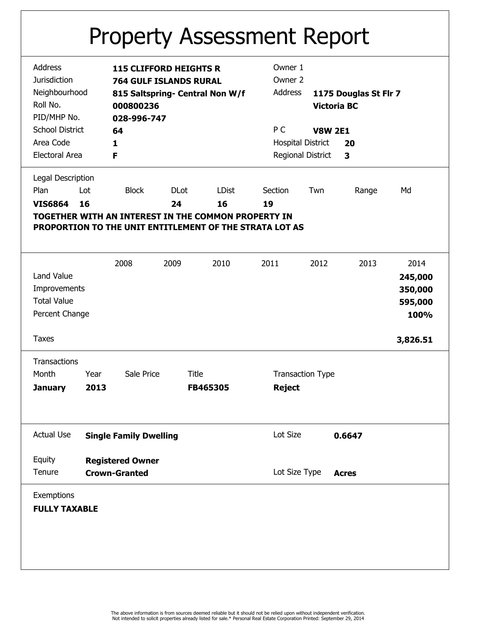## Property Assessment Report

| <b>Address</b><br><b>Jurisdiction</b><br>Neighbourhood<br>Roll No. |                                    | 000800236                     | <b>115 CLIFFORD HEIGHTS R</b><br><b>764 GULF ISLANDS RURAL</b> | 815 Saltspring- Central Non W/f                         | Owner 1<br>Owner 2<br>Address  | 1175 Douglas St Flr 7<br><b>Victoria BC</b> |         |          |
|--------------------------------------------------------------------|------------------------------------|-------------------------------|----------------------------------------------------------------|---------------------------------------------------------|--------------------------------|---------------------------------------------|---------|----------|
| PID/MHP No.                                                        |                                    | 028-996-747                   |                                                                |                                                         |                                |                                             |         |          |
| <b>School District</b>                                             |                                    | 64                            |                                                                |                                                         | P C                            | <b>V8W 2E1</b>                              |         |          |
| Area Code                                                          |                                    | 1                             |                                                                |                                                         | <b>Hospital District</b><br>20 |                                             |         |          |
| <b>Electoral Area</b>                                              |                                    | F                             |                                                                |                                                         | Regional District              |                                             | 3       |          |
|                                                                    |                                    |                               |                                                                |                                                         |                                |                                             |         |          |
| Legal Description                                                  |                                    |                               |                                                                |                                                         |                                |                                             |         |          |
| Plan                                                               | Lot                                | <b>Block</b>                  | <b>DLot</b>                                                    | <b>LDist</b>                                            | Section                        | Twn                                         | Range   | Md       |
| <b>VIS6864</b>                                                     | 16                                 |                               | 24                                                             | 16                                                      | 19                             |                                             |         |          |
|                                                                    |                                    |                               |                                                                | TOGETHER WITH AN INTEREST IN THE COMMON PROPERTY IN     |                                |                                             |         |          |
|                                                                    |                                    |                               |                                                                | PROPORTION TO THE UNIT ENTITLEMENT OF THE STRATA LOT AS |                                |                                             |         |          |
|                                                                    |                                    |                               |                                                                |                                                         |                                |                                             |         |          |
|                                                                    |                                    |                               |                                                                |                                                         |                                |                                             |         |          |
|                                                                    |                                    | 2008                          | 2009                                                           | 2010                                                    | 2011                           | 2012                                        | 2013    | 2014     |
| Land Value                                                         |                                    |                               |                                                                |                                                         |                                |                                             |         | 245,000  |
| Improvements                                                       |                                    |                               |                                                                |                                                         |                                |                                             | 350,000 |          |
| <b>Total Value</b>                                                 |                                    |                               |                                                                |                                                         |                                |                                             |         |          |
|                                                                    |                                    |                               |                                                                |                                                         |                                | 595,000                                     |         |          |
| Percent Change                                                     |                                    |                               |                                                                |                                                         |                                |                                             |         | 100%     |
| <b>Taxes</b>                                                       |                                    |                               |                                                                |                                                         |                                |                                             |         | 3,826.51 |
|                                                                    |                                    |                               |                                                                |                                                         |                                |                                             |         |          |
| Transactions                                                       |                                    |                               |                                                                |                                                         |                                |                                             |         |          |
| Month                                                              | Sale Price<br><b>Title</b><br>Year |                               | <b>Transaction Type</b>                                        |                                                         |                                |                                             |         |          |
| <b>January</b>                                                     | 2013<br>FB465305                   |                               |                                                                | <b>Reject</b>                                           |                                |                                             |         |          |
|                                                                    |                                    |                               |                                                                |                                                         |                                |                                             |         |          |
|                                                                    |                                    |                               |                                                                |                                                         |                                |                                             |         |          |
|                                                                    |                                    |                               |                                                                |                                                         |                                |                                             |         |          |
| <b>Actual Use</b>                                                  |                                    | <b>Single Family Dwelling</b> |                                                                |                                                         | Lot Size                       |                                             | 0.6647  |          |
|                                                                    |                                    |                               |                                                                |                                                         |                                |                                             |         |          |
| Equity                                                             |                                    | <b>Registered Owner</b>       |                                                                |                                                         |                                |                                             |         |          |
| Tenure                                                             | <b>Crown-Granted</b>               |                               | Lot Size Type                                                  |                                                         | <b>Acres</b>                   |                                             |         |          |
| Exemptions                                                         |                                    |                               |                                                                |                                                         |                                |                                             |         |          |
|                                                                    |                                    |                               |                                                                |                                                         |                                |                                             |         |          |
| <b>FULLY TAXABLE</b>                                               |                                    |                               |                                                                |                                                         |                                |                                             |         |          |
|                                                                    |                                    |                               |                                                                |                                                         |                                |                                             |         |          |
|                                                                    |                                    |                               |                                                                |                                                         |                                |                                             |         |          |
|                                                                    |                                    |                               |                                                                |                                                         |                                |                                             |         |          |
|                                                                    |                                    |                               |                                                                |                                                         |                                |                                             |         |          |
|                                                                    |                                    |                               |                                                                |                                                         |                                |                                             |         |          |